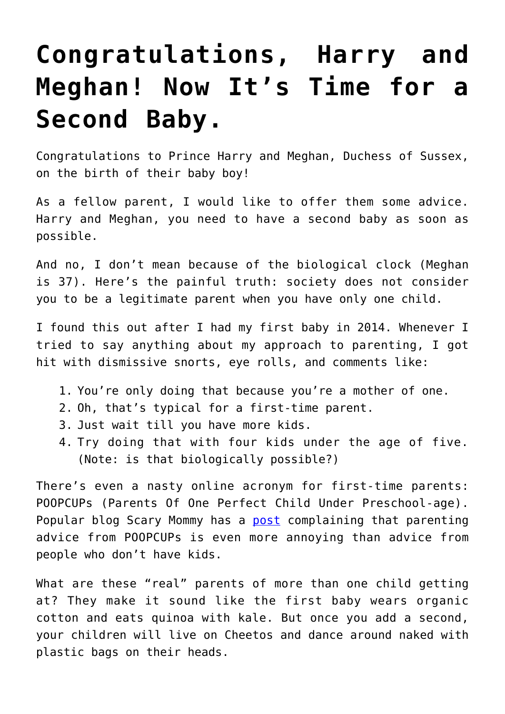## **[Congratulations, Harry and](https://intellectualtakeout.org/2019/05/congratulations-harry-and-meghan-now-its-time-for-a-second-baby/) [Meghan! Now It's Time for a](https://intellectualtakeout.org/2019/05/congratulations-harry-and-meghan-now-its-time-for-a-second-baby/) [Second Baby.](https://intellectualtakeout.org/2019/05/congratulations-harry-and-meghan-now-its-time-for-a-second-baby/)**

Congratulations to Prince Harry and Meghan, Duchess of Sussex, on the birth of their baby boy!

As a fellow parent, I would like to offer them some advice. Harry and Meghan, you need to have a second baby as soon as possible.

And no, I don't mean because of the biological clock (Meghan is 37). Here's the painful truth: society does not consider you to be a legitimate parent when you have only one child.

I found this out after I had my first baby in 2014. Whenever I tried to say anything about my approach to parenting, I got hit with dismissive snorts, eye rolls, and comments like:

- 1. You're only doing that because you're a mother of one.
- 2. Oh, that's typical for a first-time parent.
- 3. Just wait till you have more kids.
- 4. Try doing that with four kids under the age of five. (Note: is that biologically possible?)

There's even a nasty online acronym for first-time parents: POOPCUPs (Parents Of One Perfect Child Under Preschool-age). Popular blog Scary Mommy has a [post](https://www.scarymommy.com/parents-one-perfect-child-preschool-age/) complaining that parenting advice from POOPCUPs is even more annoying than advice from people who don't have kids.

What are these "real" parents of more than one child getting at? They make it sound like the first baby wears organic cotton and eats quinoa with kale. But once you add a second, your children will live on Cheetos and dance around naked with plastic bags on their heads.